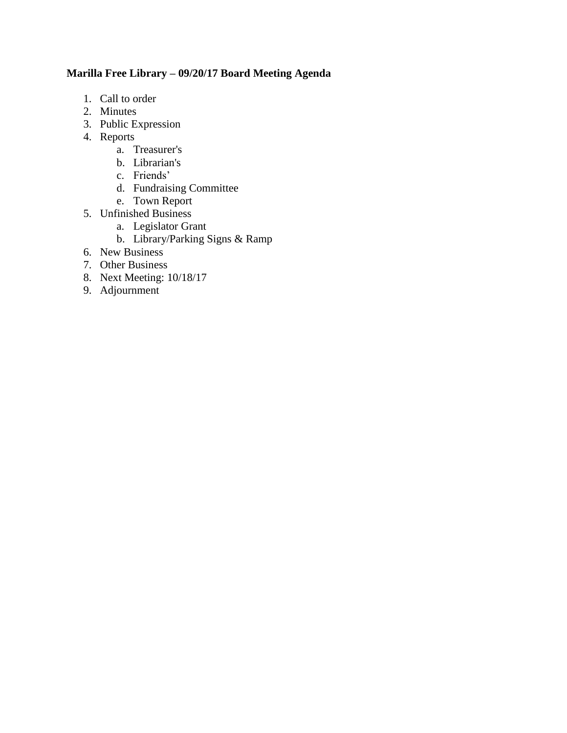## **Marilla Free Library – 09/20/17 Board Meeting Agenda**

- 1. Call to order
- 2. Minutes
- 3. Public Expression
- 4. Reports
	- a. Treasurer's
	- b. Librarian's
	- c. Friends'
	- d. Fundraising Committee
	- e. Town Report
- 5. Unfinished Business
	- a. Legislator Grant
	- b. Library/Parking Signs & Ramp
- 6. New Business
- 7. Other Business
- 8. Next Meeting: 10/18/17
- 9. Adjournment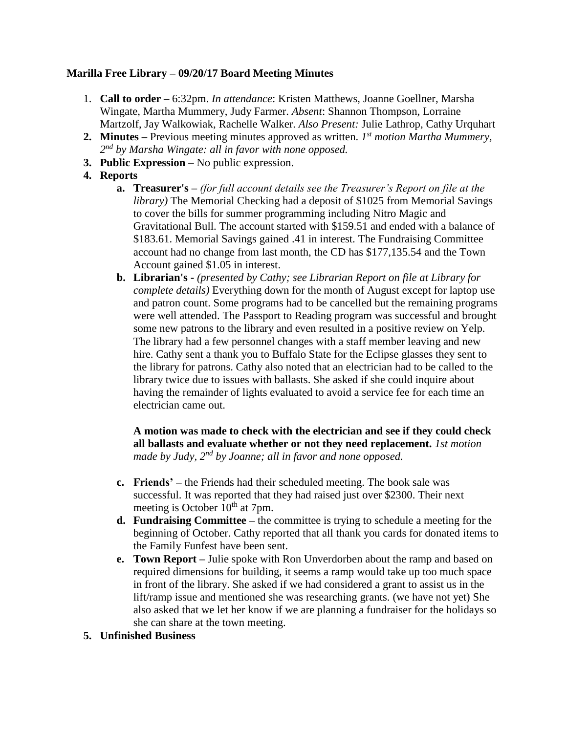## **Marilla Free Library – 09/20/17 Board Meeting Minutes**

- 1. **Call to order –** 6:32pm. *In attendance*: Kristen Matthews, Joanne Goellner, Marsha Wingate, Martha Mummery, Judy Farmer. *Absent*: Shannon Thompson, Lorraine Martzolf, Jay Walkowiak, Rachelle Walker. *Also Present:* Julie Lathrop, Cathy Urquhart
- **2. Minutes –** Previous meeting minutes approved as written. *1 st motion Martha Mummery, 2 nd by Marsha Wingate: all in favor with none opposed.*
- **3. Public Expression** No public expression.
- **4. Reports**
	- **a. Treasurer's –** *(for full account details see the Treasurer's Report on file at the library)* The Memorial Checking had a deposit of \$1025 from Memorial Savings to cover the bills for summer programming including Nitro Magic and Gravitational Bull. The account started with \$159.51 and ended with a balance of \$183.61. Memorial Savings gained .41 in interest. The Fundraising Committee account had no change from last month, the CD has \$177,135.54 and the Town Account gained \$1.05 in interest.
	- **b. Librarian's -** *(presented by Cathy; see Librarian Report on file at Library for complete details)* Everything down for the month of August except for laptop use and patron count. Some programs had to be cancelled but the remaining programs were well attended. The Passport to Reading program was successful and brought some new patrons to the library and even resulted in a positive review on Yelp. The library had a few personnel changes with a staff member leaving and new hire. Cathy sent a thank you to Buffalo State for the Eclipse glasses they sent to the library for patrons. Cathy also noted that an electrician had to be called to the library twice due to issues with ballasts. She asked if she could inquire about having the remainder of lights evaluated to avoid a service fee for each time an electrician came out.

**A motion was made to check with the electrician and see if they could check all ballasts and evaluate whether or not they need replacement.** *1st motion made by Judy, 2nd by Joanne; all in favor and none opposed.* 

- **c. Friends' –** the Friends had their scheduled meeting. The book sale was successful. It was reported that they had raised just over \$2300. Their next meeting is October  $10^{th}$  at 7pm.
- **d. Fundraising Committee –** the committee is trying to schedule a meeting for the beginning of October. Cathy reported that all thank you cards for donated items to the Family Funfest have been sent.
- **e. Town Report –** Julie spoke with Ron Unverdorben about the ramp and based on required dimensions for building, it seems a ramp would take up too much space in front of the library. She asked if we had considered a grant to assist us in the lift/ramp issue and mentioned she was researching grants. (we have not yet) She also asked that we let her know if we are planning a fundraiser for the holidays so she can share at the town meeting.

## **5. Unfinished Business**